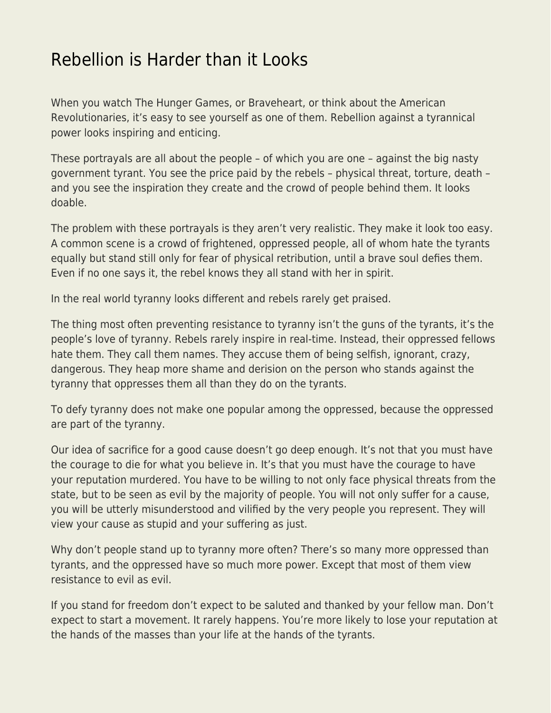## [Rebellion is Harder than it Looks](https://everything-voluntary.com/rebellion-is-harder-than-it-looks)

When you watch The Hunger Games, or Braveheart, or think about the American Revolutionaries, it's easy to see yourself as one of them. Rebellion against a tyrannical power looks inspiring and enticing.

These portrayals are all about the people – of which you are one – against the big nasty government tyrant. You see the price paid by the rebels – physical threat, torture, death – and you see the inspiration they create and the crowd of people behind them. It looks doable.

The problem with these portrayals is they aren't very realistic. They make it look too easy. A common scene is a crowd of frightened, oppressed people, all of whom hate the tyrants equally but stand still only for fear of physical retribution, until a brave soul defies them. Even if no one says it, the rebel knows they all stand with her in spirit.

In the real world tyranny looks different and rebels rarely get praised.

The thing most often preventing resistance to tyranny isn't the guns of the tyrants, it's the people's love of tyranny. Rebels rarely inspire in real-time. Instead, their oppressed fellows hate them. They call them names. They accuse them of being selfish, ignorant, crazy, dangerous. They heap more shame and derision on the person who stands against the tyranny that oppresses them all than they do on the tyrants.

To defy tyranny does not make one popular among the oppressed, because the oppressed are part of the tyranny.

Our idea of sacrifice for a good cause doesn't go deep enough. It's not that you must have the courage to die for what you believe in. It's that you must have the courage to have your reputation murdered. You have to be willing to not only face physical threats from the state, but to be seen as evil by the majority of people. You will not only suffer for a cause, you will be utterly misunderstood and vilified by the very people you represent. They will view your cause as stupid and your suffering as just.

Why don't people stand up to tyranny more often? There's so many more oppressed than tyrants, and the oppressed have so much more power. Except that most of them view resistance to evil as evil.

If you stand for freedom don't expect to be saluted and thanked by your fellow man. Don't expect to start a movement. It rarely happens. You're more likely to lose your reputation at the hands of the masses than your life at the hands of the tyrants.